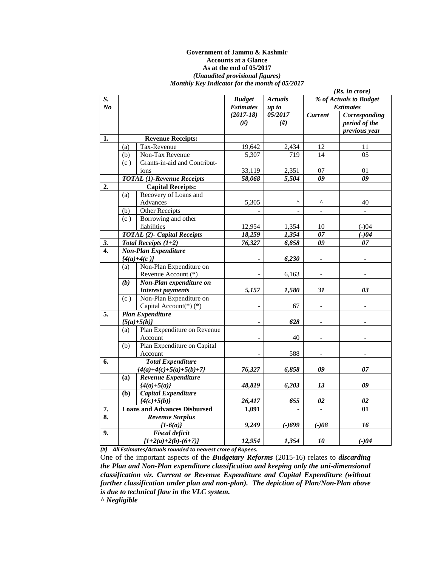#### **Government of Jammu & Kashmir Accounts at a Glance As at the end of 05/2017**  *(Unaudited provisional figures) Monthly Key Indicator for the month of 05/2017*

|                |     | (Rs. in <i>core</i> )               |                  |                |                          |                          |
|----------------|-----|-------------------------------------|------------------|----------------|--------------------------|--------------------------|
| S.             |     |                                     | <b>Budget</b>    | <b>Actuals</b> |                          | % of Actuals to Budget   |
| N <sub>o</sub> |     |                                     | <b>Estimates</b> | up to          |                          | <b>Estimates</b>         |
|                |     |                                     | $(2017-18)$      | 05/2017        | <b>Current</b>           | Corresponding            |
|                |     |                                     | $(\#)$           | $(\#)$         |                          | period of the            |
|                |     |                                     |                  |                |                          | previous year            |
| 1.             |     | <b>Revenue Receipts:</b>            |                  |                |                          |                          |
|                | (a) | Tax-Revenue                         | 19,642           | 2,434          | 12                       | 11                       |
|                | (b) | Non-Tax Revenue                     | 5,307            | 719            | 14                       | 0 <sub>5</sub>           |
|                | (c) | Grants-in-aid and Contribut-        |                  |                |                          |                          |
|                |     | ions                                | 33,119           | 2,351          | 07                       | 01                       |
|                |     | <b>TOTAL</b> (1)-Revenue Receipts   | 58,068           | 5,504          | $\overline{\theta}$      | $\overline{\theta}$      |
| 2.             |     | <b>Capital Receipts:</b>            |                  |                |                          |                          |
|                | (a) | Recovery of Loans and               |                  |                |                          |                          |
|                |     | Advances                            | 5,305            | Λ              | Λ                        | 40                       |
|                | (b) | Other Receipts                      |                  |                | $\overline{\phantom{a}}$ | $\overline{\phantom{a}}$ |
|                | (c) | Borrowing and other                 |                  |                |                          |                          |
|                |     | liabilities                         | 12,954           | 1,354          | 10                       | $(-)04$                  |
|                |     | <b>TOTAL</b> (2)- Capital Receipts  | 18,259           | 1,354          | $\overline{07}$          | $(-)04$                  |
| 3.             |     | Total Receipts $(1+2)$              | 76,327           | 6,858          | 09                       | 07                       |
| 4.             |     | <b>Non-Plan Expenditure</b>         |                  |                |                          |                          |
|                |     | ${4(a)+4(c)}$                       |                  | 6,230          |                          |                          |
|                | (a) | Non-Plan Expenditure on             |                  |                |                          |                          |
|                |     | Revenue Account (*)                 |                  | 6,163          |                          |                          |
|                | (b) | Non-Plan expenditure on             |                  |                |                          |                          |
|                |     | <b>Interest payments</b>            | 5,157            | 1,580          | 31                       | 03                       |
|                | (c) | Non-Plan Expenditure on             |                  |                |                          |                          |
|                |     | Capital Account(*)(*)               |                  | 67             | $\overline{\phantom{a}}$ |                          |
| 5.             |     | <b>Plan Expenditure</b>             |                  |                |                          |                          |
|                |     | ${5(a)+5(b)}$                       |                  | 628            |                          |                          |
|                | (a) | Plan Expenditure on Revenue         |                  |                |                          |                          |
|                |     | Account                             |                  | 40             |                          |                          |
|                | (b) | Plan Expenditure on Capital         |                  |                |                          |                          |
|                |     | Account                             |                  | 588            | $\overline{\phantom{a}}$ |                          |
| 6.             |     | <b>Total Expenditure</b>            |                  |                |                          |                          |
|                |     | ${4(a)+4(c)+5(a)+5(b)+7}$           | 76,327           | 6,858          | 09                       | 07                       |
|                | (a) | Revenue Expenditure                 |                  |                |                          |                          |
|                |     | ${4(a)+5(a)}$                       | 48,819           | 6,203          | 13                       | 09                       |
|                | (b) | Capital Expenditure                 |                  |                |                          |                          |
|                |     | ${4(c)+5(b)}$                       | 26,417           | 655            | 02                       | 02                       |
| 7.             |     | <b>Loans and Advances Disbursed</b> | 1,091            |                | $\blacksquare$           | 01                       |
| 8.             |     | Revenue Surplus                     |                  |                |                          |                          |
|                |     | ${1-6(a)}$                          | 9,249            | $(-)699$       | $(-)08$                  | 16                       |
| 9.             |     | <b>Fiscal deficit</b>               |                  |                |                          |                          |
|                |     | ${1+2(a)+2(b)-(6+7)}$               | 12,954           | 1,354          | 10                       | $(-)04$                  |

*(#) All Estimates/Actuals rounded to nearest crore of Rupees.*

One of the important aspects of the *Budgetary Reforms* (2015-16) relates to *discarding the Plan and Non-Plan expenditure classification and keeping only the uni-dimensional classification viz. Current or Revenue Expenditure and Capital Expenditure (without further classification under plan and non-plan). The depiction of Plan/Non-Plan above is due to technical flaw in the VLC system.* 

*^ Negligible*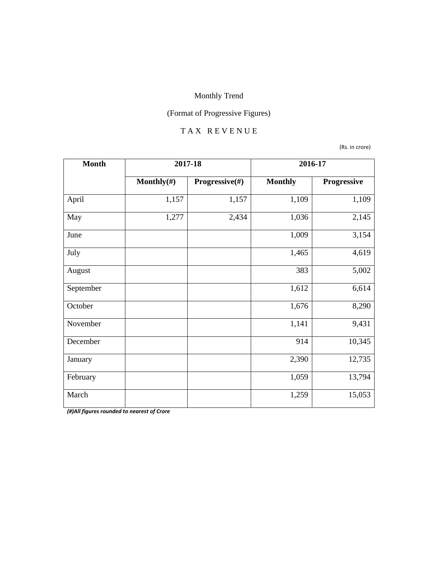# (Format of Progressive Figures)

#### T A X R E V E N U E

(Rs. in crore)

| <b>Month</b> | 2017-18        |                | 2016-17        |             |
|--------------|----------------|----------------|----------------|-------------|
|              | Monthly $(\#)$ | Progressive(#) | <b>Monthly</b> | Progressive |
| April        | 1,157          | 1,157          | 1,109          | 1,109       |
| May          | 1,277          | 2,434          | 1,036          | 2,145       |
| June         |                |                | 1,009          | 3,154       |
| July         |                |                | 1,465          | 4,619       |
| August       |                |                | 383            | 5,002       |
| September    |                |                | 1,612          | 6,614       |
| October      |                |                | 1,676          | 8,290       |
| November     |                |                | 1,141          | 9,431       |
| December     |                |                | 914            | 10,345      |
| January      |                |                | 2,390          | 12,735      |
| February     |                |                | 1,059          | 13,794      |
| March        |                |                | 1,259          | 15,053      |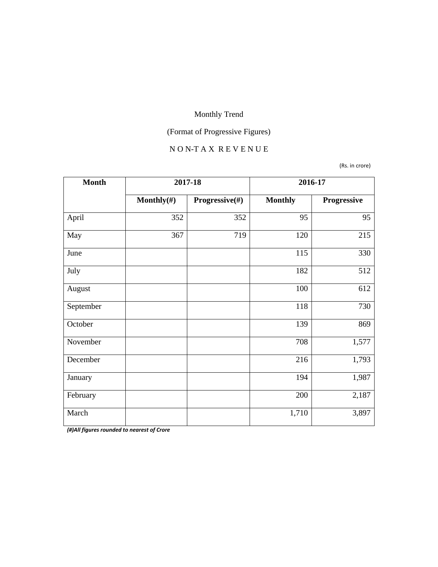# (Format of Progressive Figures)

#### N O N-T A X R E V E N U E

(Rs. in crore)

| <b>Month</b> | 2017-18        |                | 2016-17        |             |
|--------------|----------------|----------------|----------------|-------------|
|              | Monthly $(\#)$ | Progressive(#) | <b>Monthly</b> | Progressive |
| April        | 352            | 352            | 95             | 95          |
| May          | 367            | 719            | 120            | 215         |
| June         |                |                | 115            | 330         |
| July         |                |                | 182            | 512         |
| August       |                |                | 100            | 612         |
| September    |                |                | 118            | 730         |
| October      |                |                | 139            | 869         |
| November     |                |                | 708            | 1,577       |
| December     |                |                | 216            | 1,793       |
| January      |                |                | 194            | 1,987       |
| February     |                |                | 200            | 2,187       |
| March        |                |                | 1,710          | 3,897       |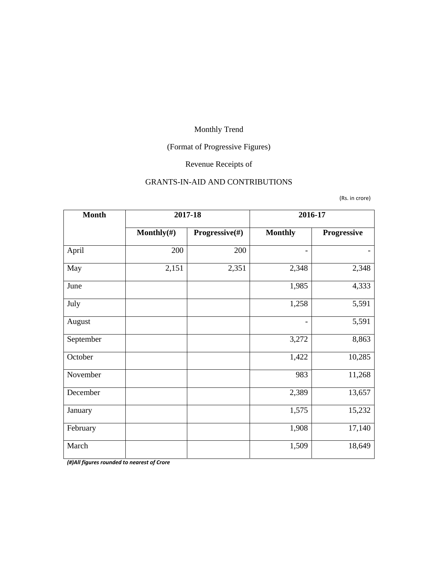# (Format of Progressive Figures)

# Revenue Receipts of

#### GRANTS-IN-AID AND CONTRIBUTIONS

(Rs. in crore)

| <b>Month</b> | 2017-18        |                | 2016-17                  |             |
|--------------|----------------|----------------|--------------------------|-------------|
|              | Monthly $(\#)$ | Progressive(#) | <b>Monthly</b>           | Progressive |
| April        | 200            | 200            | $\overline{\phantom{a}}$ |             |
| May          | 2,151          | 2,351          | 2,348                    | 2,348       |
| June         |                |                | 1,985                    | 4,333       |
| July         |                |                | 1,258                    | 5,591       |
| August       |                |                |                          | 5,591       |
| September    |                |                | 3,272                    | 8,863       |
| October      |                |                | 1,422                    | 10,285      |
| November     |                |                | 983                      | 11,268      |
| December     |                |                | 2,389                    | 13,657      |
| January      |                |                | 1,575                    | 15,232      |
| February     |                |                | 1,908                    | 17,140      |
| March        |                |                | 1,509                    | 18,649      |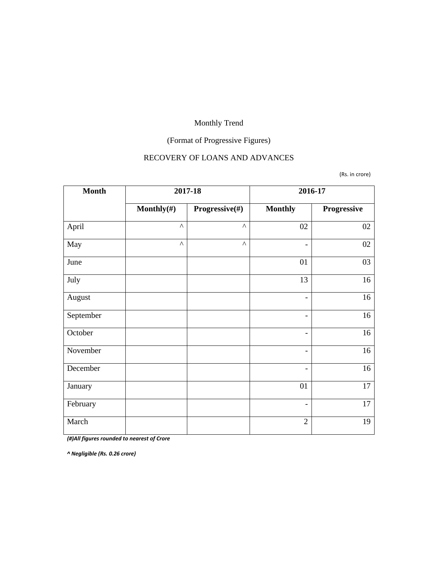# (Format of Progressive Figures)

#### RECOVERY OF LOANS AND ADVANCES

(Rs. in crore)

| <b>Month</b> | 2017-18               |                       |                              | 2016-17     |
|--------------|-----------------------|-----------------------|------------------------------|-------------|
|              | Monthly $(\#)$        | Progressive(#)        | <b>Monthly</b>               | Progressive |
| April        | $\boldsymbol{\wedge}$ | $\boldsymbol{\wedge}$ | 02                           | 02          |
| May          | $\boldsymbol{\wedge}$ | $\boldsymbol{\wedge}$ | $\overline{\phantom{a}}$     | 02          |
| June         |                       |                       | 01                           | 03          |
| July         |                       |                       | 13                           | 16          |
| August       |                       |                       | $\overline{\phantom{a}}$     | 16          |
| September    |                       |                       | $\qquad \qquad \blacksquare$ | 16          |
| October      |                       |                       | $\overline{\phantom{a}}$     | 16          |
| November     |                       |                       | $\overline{\phantom{a}}$     | 16          |
| December     |                       |                       | $\overline{\phantom{0}}$     | 16          |
| January      |                       |                       | 01                           | 17          |
| February     |                       |                       | $\overline{\phantom{a}}$     | 17          |
| March        |                       |                       | $\overline{2}$               | 19          |

*(#)All figures rounded to nearest of Crore*

*^ Negligible (Rs. 0.26 crore)*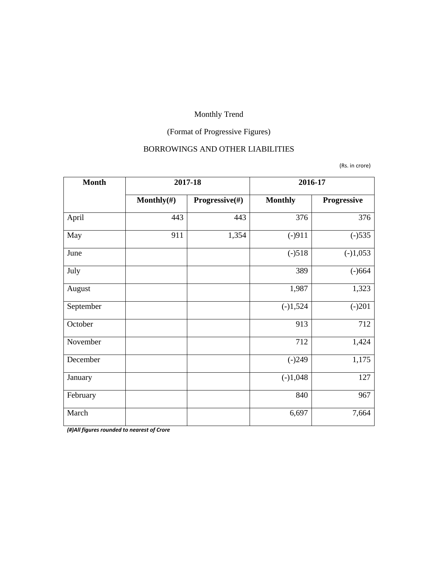# (Format of Progressive Figures)

#### BORROWINGS AND OTHER LIABILITIES

(Rs. in crore)

| <b>Month</b> |            | 2017-18        | 2016-17        |             |
|--------------|------------|----------------|----------------|-------------|
|              | Monthly(#) | Progressive(#) | <b>Monthly</b> | Progressive |
| April        | 443        | 443            | 376            | 376         |
| May          | 911        | 1,354          | $(-)911$       | $(-)535$    |
| June         |            |                | $(-)518$       | $(-)1,053$  |
| July         |            |                | 389            | $(-)664$    |
| August       |            |                | 1,987          | 1,323       |
| September    |            |                | $(-)1,524$     | $(-)201$    |
| October      |            |                | 913            | 712         |
| November     |            |                | 712            | 1,424       |
| December     |            |                | $(-)249$       | 1,175       |
| January      |            |                | $(-)1,048$     | 127         |
| February     |            |                | 840            | 967         |
| March        |            |                | 6,697          | 7,664       |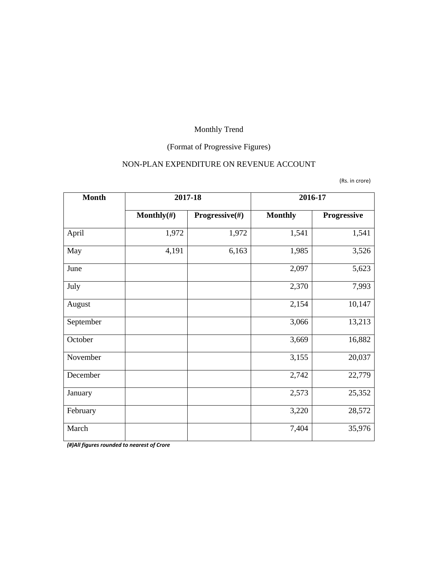# (Format of Progressive Figures)

#### NON-PLAN EXPENDITURE ON REVENUE ACCOUNT

(Rs. in crore)

| <b>Month</b> |                | 2017-18        | 2016-17        |             |
|--------------|----------------|----------------|----------------|-------------|
|              | Monthly $(\#)$ | Progressive(#) | <b>Monthly</b> | Progressive |
| April        | 1,972          | 1,972          | 1,541          | 1,541       |
| May          | 4,191          | 6,163          | 1,985          | 3,526       |
| June         |                |                | 2,097          | 5,623       |
| July         |                |                | 2,370          | 7,993       |
| August       |                |                | 2,154          | 10,147      |
| September    |                |                | 3,066          | 13,213      |
| October      |                |                | 3,669          | 16,882      |
| November     |                |                | 3,155          | 20,037      |
| December     |                |                | 2,742          | 22,779      |
| January      |                |                | 2,573          | 25,352      |
| February     |                |                | 3,220          | 28,572      |
| March        |                |                | 7,404          | 35,976      |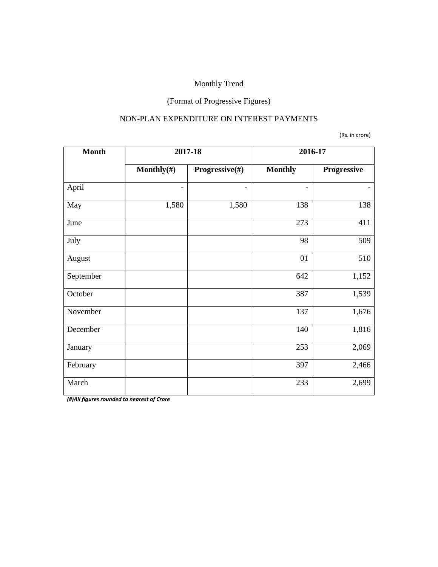# (Format of Progressive Figures)

#### NON-PLAN EXPENDITURE ON INTEREST PAYMENTS

(Rs. in crore)

| <b>Month</b> | 2017-18                  |                | 2016-17                  |             |
|--------------|--------------------------|----------------|--------------------------|-------------|
|              | Monthly $(\#)$           | Progressive(#) | <b>Monthly</b>           | Progressive |
| April        | $\overline{\phantom{a}}$ |                | $\overline{\phantom{0}}$ |             |
| May          | 1,580                    | 1,580          | 138                      | 138         |
| June         |                          |                | 273                      | 411         |
| July         |                          |                | 98                       | 509         |
| August       |                          |                | 01                       | 510         |
| September    |                          |                | 642                      | 1,152       |
| October      |                          |                | 387                      | 1,539       |
| November     |                          |                | 137                      | 1,676       |
| December     |                          |                | 140                      | 1,816       |
| January      |                          |                | 253                      | 2,069       |
| February     |                          |                | 397                      | 2,466       |
| March        |                          |                | 233                      | 2,699       |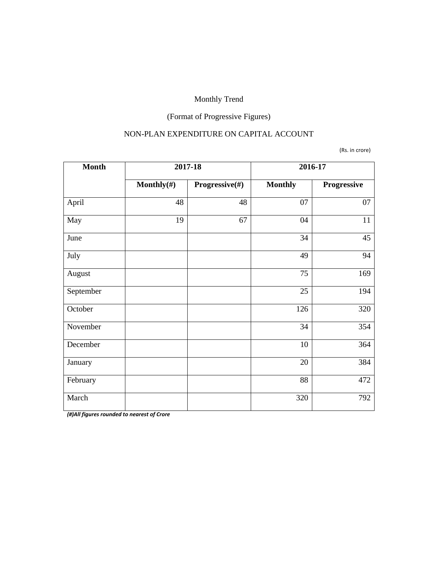# (Format of Progressive Figures)

#### NON-PLAN EXPENDITURE ON CAPITAL ACCOUNT

(Rs. in crore)

| <b>Month</b> | 2017-18        |                | 2016-17        |             |
|--------------|----------------|----------------|----------------|-------------|
|              | Monthly $(\#)$ | Progressive(#) | <b>Monthly</b> | Progressive |
| April        | 48             | 48             | 07             | 07          |
| May          | 19             | 67             | 04             | 11          |
| June         |                |                | 34             | 45          |
| July         |                |                | 49             | 94          |
| August       |                |                | 75             | 169         |
| September    |                |                | 25             | 194         |
| October      |                |                | 126            | 320         |
| November     |                |                | 34             | 354         |
| December     |                |                | 10             | 364         |
| January      |                |                | 20             | 384         |
| February     |                |                | 88             | 472         |
| March        |                |                | 320            | 792         |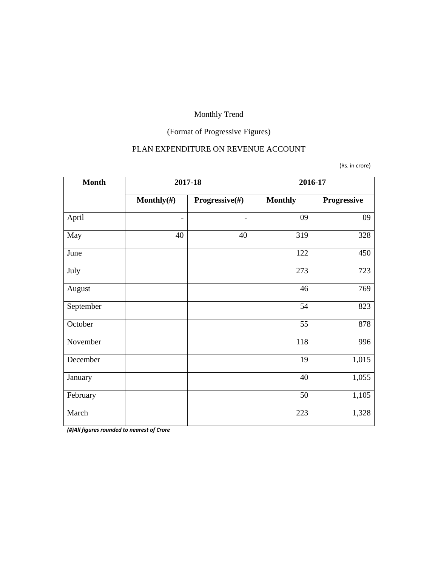# (Format of Progressive Figures)

#### PLAN EXPENDITURE ON REVENUE ACCOUNT

(Rs. in crore)

| <b>Month</b> | 2017-18                  |                          |                | 2016-17     |
|--------------|--------------------------|--------------------------|----------------|-------------|
|              | Monthly $(\#)$           | Progressive(#)           | <b>Monthly</b> | Progressive |
| April        | $\overline{\phantom{a}}$ | $\overline{\phantom{0}}$ | 09             | 09          |
| May          | 40                       | 40                       | 319            | 328         |
| June         |                          |                          | 122            | 450         |
| July         |                          |                          | 273            | 723         |
| August       |                          |                          | 46             | 769         |
| September    |                          |                          | 54             | 823         |
| October      |                          |                          | 55             | 878         |
| November     |                          |                          | 118            | 996         |
| December     |                          |                          | 19             | 1,015       |
| January      |                          |                          | 40             | 1,055       |
| February     |                          |                          | 50             | 1,105       |
| March        |                          |                          | 223            | 1,328       |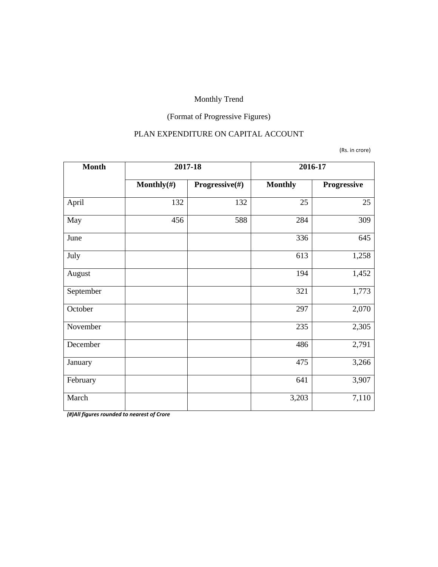# (Format of Progressive Figures)

#### PLAN EXPENDITURE ON CAPITAL ACCOUNT

#### (Rs. in crore)

| <b>Month</b> | 2017-18        |                | 2016-17        |             |
|--------------|----------------|----------------|----------------|-------------|
|              | Monthly $(\#)$ | Progressive(#) | <b>Monthly</b> | Progressive |
| April        | 132            | 132            | 25             | 25          |
| May          | 456            | 588            | 284            | 309         |
| June         |                |                | 336            | 645         |
| July         |                |                | 613            | 1,258       |
| August       |                |                | 194            | 1,452       |
| September    |                |                | 321            | 1,773       |
| October      |                |                | 297            | 2,070       |
| November     |                |                | 235            | 2,305       |
| December     |                |                | 486            | 2,791       |
| January      |                |                | 475            | 3,266       |
| February     |                |                | 641            | 3,907       |
| March        |                |                | 3,203          | 7,110       |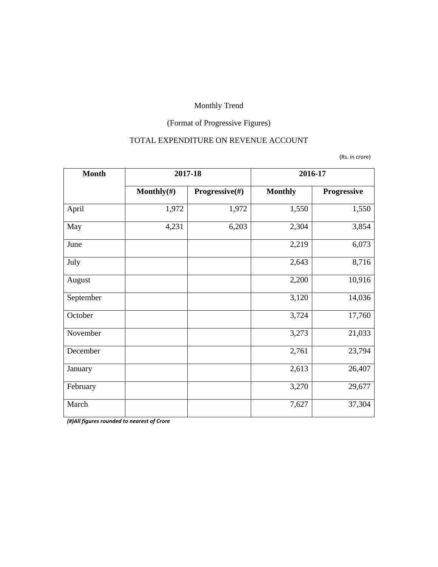# (Format of Progressive Figures)

#### TOTAL EXPENDITURE ON REVENUE ACCOUNT

(Rs. in crore)

| <b>Month</b> |                | 2017-18        | 2016-17        |                    |
|--------------|----------------|----------------|----------------|--------------------|
|              | Monthly $(\#)$ | Progressive(#) | <b>Monthly</b> | <b>Progressive</b> |
| April        | 1,972          | 1,972          | 1,550          | 1,550              |
| May          | 4,231          | 6,203          | 2,304          | 3,854              |
| June         |                |                | 2,219          | 6,073              |
| July         |                |                | 2,643          | 8,716              |
| August       |                |                | 2,200          | 10,916             |
| September    |                |                | 3,120          | 14,036             |
| October      |                |                | 3,724          | 17,760             |
| November     |                |                | 3,273          | 21,033             |
| December     |                |                | 2,761          | 23,794             |
| January      |                |                | 2,613          | 26,407             |
| February     |                |                | 3,270          | 29,677             |
| March        |                |                | 7,627          | 37,304             |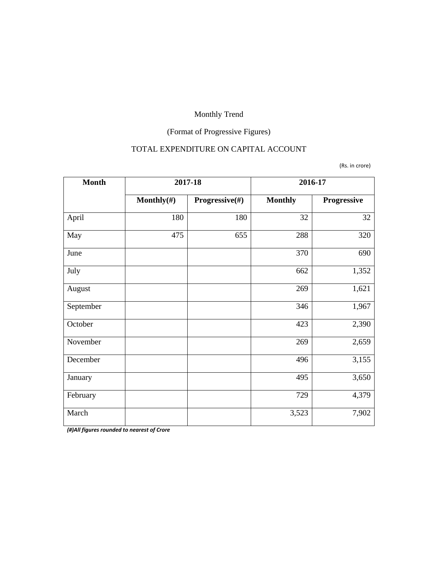# (Format of Progressive Figures)

#### TOTAL EXPENDITURE ON CAPITAL ACCOUNT

(Rs. in crore)

| <b>Month</b> | 2017-18    |                | 2016-17        |             |  |
|--------------|------------|----------------|----------------|-------------|--|
|              | Monthly(#) | Progressive(#) | <b>Monthly</b> | Progressive |  |
| April        | 180        | 180            | 32             | 32          |  |
| May          | 475        | 655            | 288            | 320         |  |
| June         |            |                | 370            | 690         |  |
| July         |            |                | 662            | 1,352       |  |
| August       |            |                | 269            | 1,621       |  |
| September    |            |                | 346            | 1,967       |  |
| October      |            |                | 423            | 2,390       |  |
| November     |            |                | 269            | 2,659       |  |
| December     |            |                | 496            | 3,155       |  |
| January      |            |                | 495            | 3,650       |  |
| February     |            |                | 729            | 4,379       |  |
| March        |            |                | 3,523          | 7,902       |  |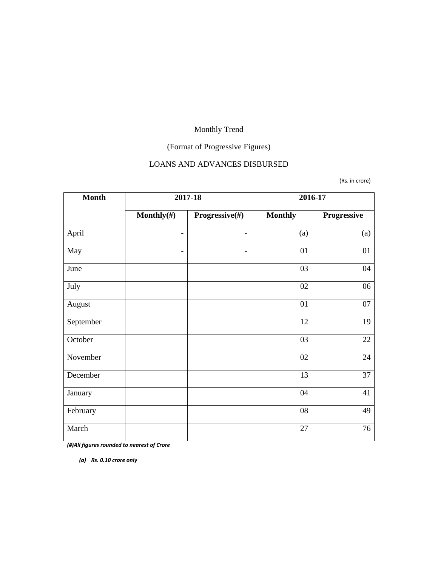# (Format of Progressive Figures)

#### LOANS AND ADVANCES DISBURSED

(Rs. in crore)

| <b>Month</b> |                          | 2017-18                  | 2016-17        |             |  |
|--------------|--------------------------|--------------------------|----------------|-------------|--|
|              | Monthly $(\#)$           | Progressive(#)           | <b>Monthly</b> | Progressive |  |
| April        | $\overline{\phantom{a}}$ | $\overline{\phantom{0}}$ | (a)            | (a)         |  |
| May          | $\overline{\phantom{a}}$ | -                        | 01             | 01          |  |
| June         |                          |                          | 03             | 04          |  |
| July         |                          |                          | 02             | 06          |  |
| August       |                          |                          | 01             | 07          |  |
| September    |                          |                          | 12             | 19          |  |
| October      |                          |                          | 03             | 22          |  |
| November     |                          |                          | 02             | 24          |  |
| December     |                          |                          | 13             | 37          |  |
| January      |                          |                          | 04             | 41          |  |
| February     |                          |                          | 08             | 49          |  |
| March        |                          |                          | 27             | 76          |  |

*(#)All figures rounded to nearest of Crore*

*(a) Rs. 0.10 crore only*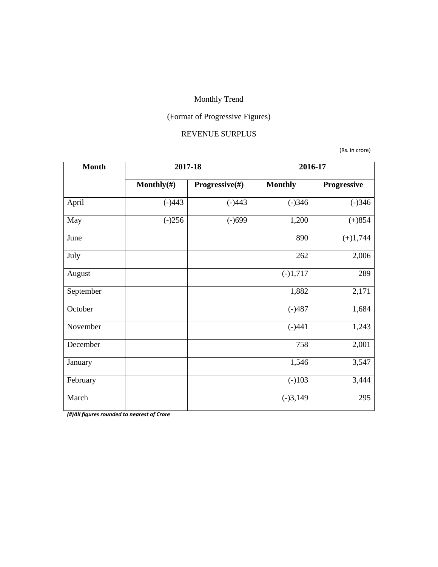# (Format of Progressive Figures)

#### REVENUE SURPLUS

(Rs. in crore)

| <b>Month</b> | 2017-18        |                | 2016-17        |             |  |
|--------------|----------------|----------------|----------------|-------------|--|
|              | Monthly $(\#)$ | Progressive(#) | <b>Monthly</b> | Progressive |  |
| April        | $(-)443$       | $(-)443$       | $(-)346$       | $(-)346$    |  |
| May          | $(-)256$       | $(-)699$       | 1,200          | $(+)854$    |  |
| June         |                |                | 890            | $(+)1,744$  |  |
| July         |                |                | 262            | 2,006       |  |
| August       |                |                | $(-)1,717$     | 289         |  |
| September    |                |                | 1,882          | 2,171       |  |
| October      |                |                | $(-)487$       | 1,684       |  |
| November     |                |                | $(-)441$       | 1,243       |  |
| December     |                |                | 758            | 2,001       |  |
| January      |                |                | 1,546          | 3,547       |  |
| February     |                |                | $(-)103$       | 3,444       |  |
| March        |                |                | $(-)3,149$     | 295         |  |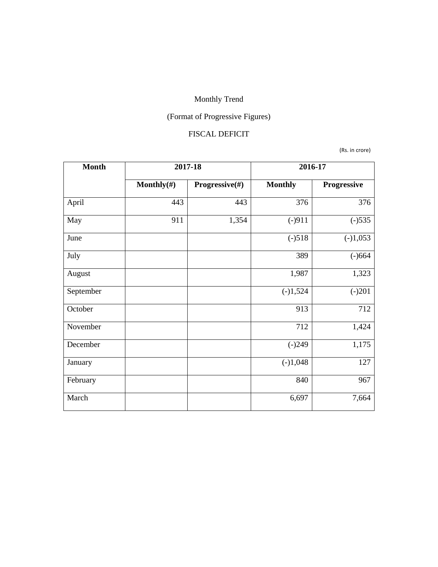# (Format of Progressive Figures)

#### FISCAL DEFICIT

(Rs. in crore)

| <b>Month</b> | 2017-18        |                | 2016-17        |             |  |
|--------------|----------------|----------------|----------------|-------------|--|
|              | Monthly $(\#)$ | Progressive(#) | <b>Monthly</b> | Progressive |  |
| April        | 443            | 443            | 376            | 376         |  |
| May          | 911            | 1,354          | $(-)911$       | $(-)535$    |  |
| June         |                |                | $(-)518$       | $(-)1,053$  |  |
| July         |                |                | 389            | $(-)664$    |  |
| August       |                |                | 1,987          | 1,323       |  |
| September    |                |                | $(-)1,524$     | $(-)201$    |  |
| October      |                |                | 913            | 712         |  |
| November     |                |                | 712            | 1,424       |  |
| December     |                |                | $(-)249$       | 1,175       |  |
| January      |                |                | $(-)1,048$     | 127         |  |
| February     |                |                | 840            | 967         |  |
| March        |                |                | 6,697          | 7,664       |  |